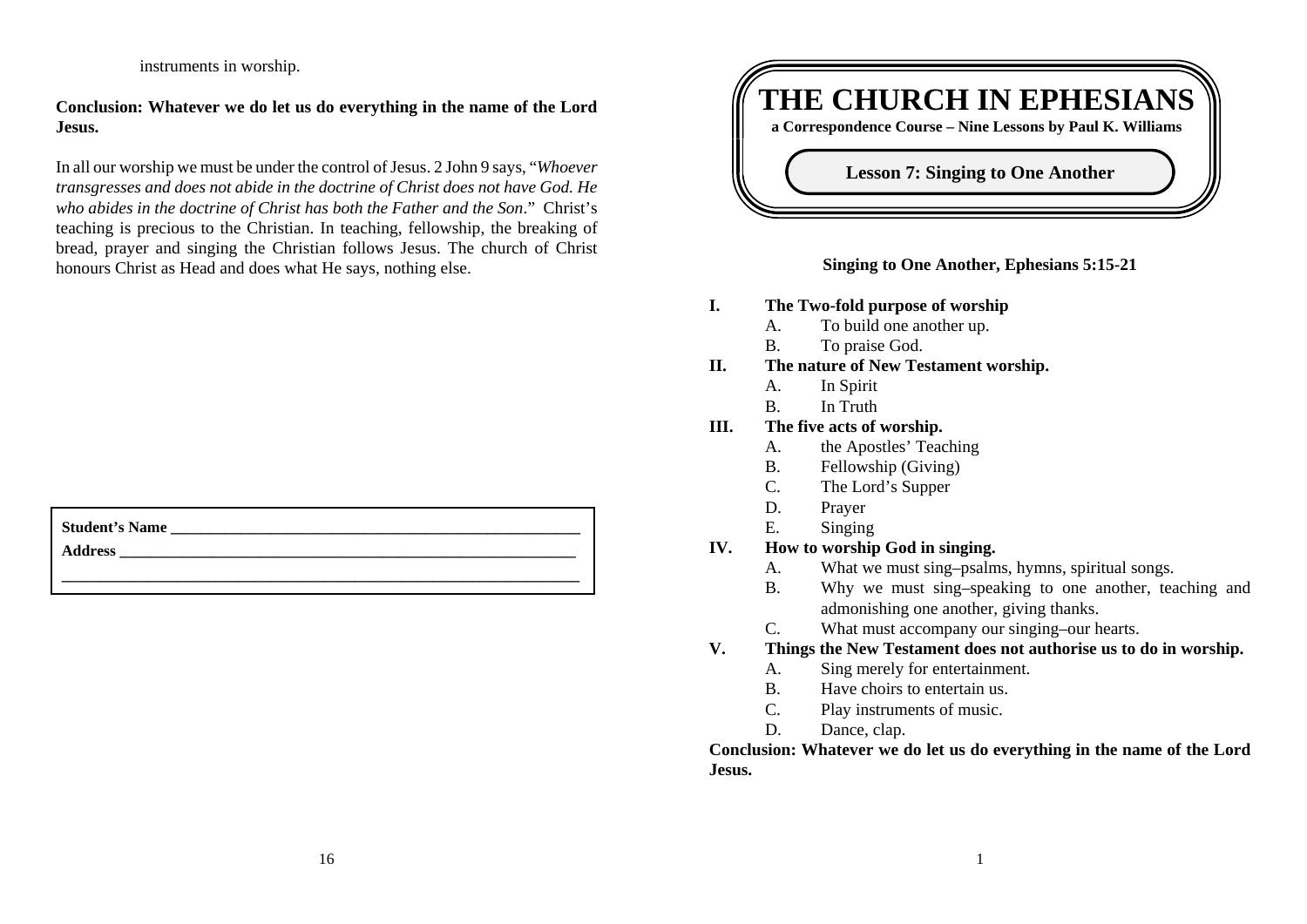instruments in worship.

## **Conclusion: Whatever we do let us do everything in the name of the Lord Jesus.**

In all our worship we must be under the control of Jesus. 2 John 9 says, "*Whoever transgresses and does not abide in the doctrine of Christ does not have God. He who abides in the doctrine of Christ has both the Father and the Son*." Christ's teaching is precious to the Christian. In teaching, fellowship, the breaking of bread, prayer and singing the Christian follows Jesus. The church of Christ honours Christ as Head and does what He says, nothing else.

| <b>Student's Name</b> |  |
|-----------------------|--|
|                       |  |

**Address \_\_\_\_\_\_\_\_\_\_\_\_\_\_\_\_\_\_\_\_\_\_\_\_\_\_\_\_\_\_\_\_\_\_\_\_\_\_\_\_\_\_\_\_\_\_\_\_\_\_\_\_\_\_\_\_\_\_\_**



### **Singing to One Another, Ephesians 5:15-21**

- **I. The Two-fold purpose of worship**
	- A. To build one another up.
	- B. To praise God.
- **II. The nature of New Testament worship.**
	- A. In Spirit
	- B. In Truth
- **III. The five acts of worship.**
	- A. the Apostles' Teaching
	- B. Fellowship (Giving)
	- C. The Lord's Supper
	- D. Prayer
	- E. Singing
- **IV. How to worship God in singing.**
	- A. What we must sing–psalms, hymns, spiritual songs.
	- B. Why we must sing–speaking to one another, teaching and admonishing one another, giving thanks.
	- C. What must accompany our singing–our hearts.
- **V. Things the New Testament does not authorise us to do in worship.**
	- A. Sing merely for entertainment.
	- B. Have choirs to entertain us.
	- C. Play instruments of music.
	- D. Dance, clap.

**Conclusion: Whatever we do let us do everything in the name of the Lord Jesus.**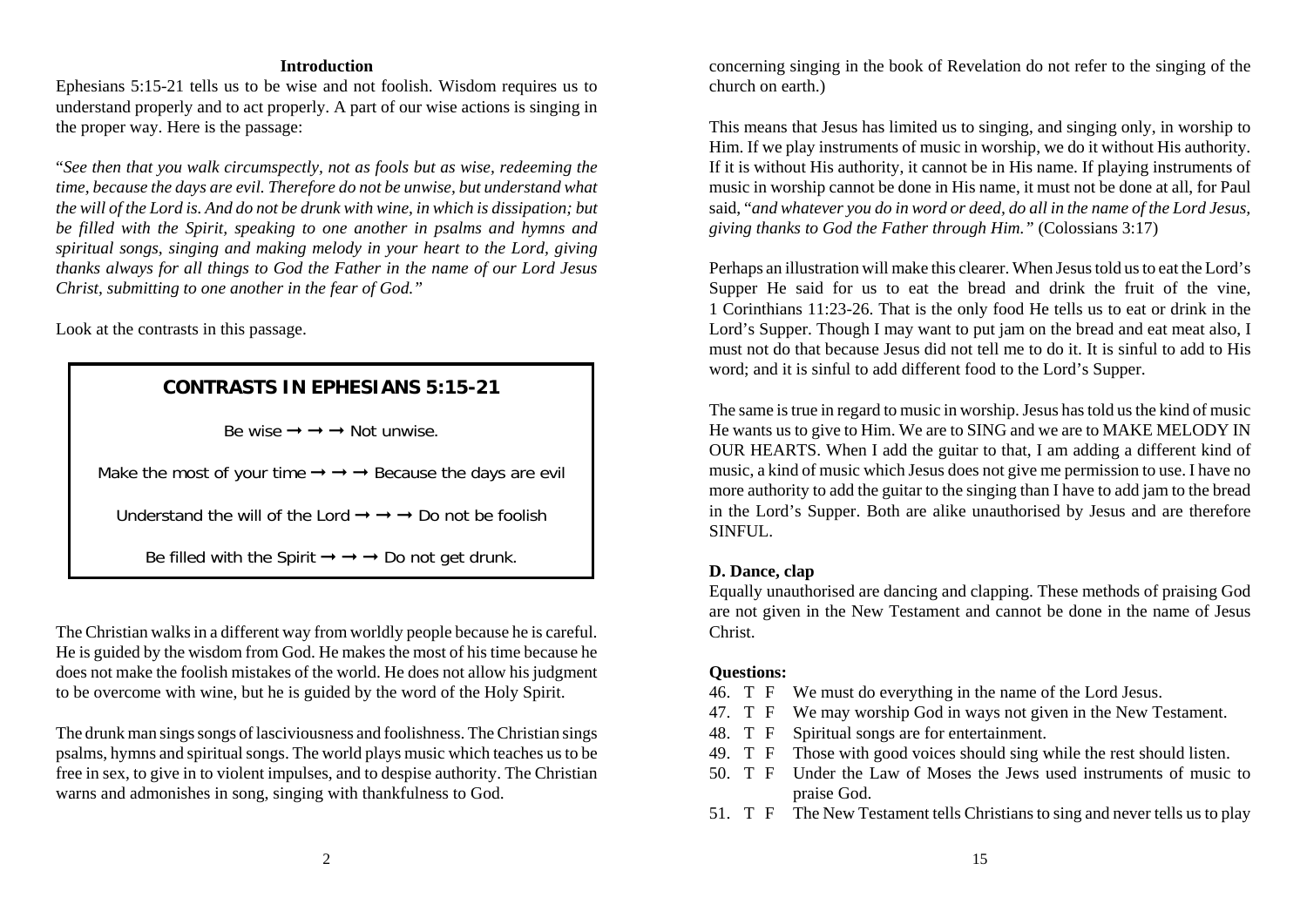#### **Introduction**

Ephesians 5:15-21 tells us to be wise and not foolish. Wisdom requires us to understand properly and to act properly. A part of our wise actions is singing in the proper way. Here is the passage:

"*See then that you walk circumspectly, not as fools but as wise, redeeming the time, because the days are evil. Therefore do not be unwise, but understand what the will of the Lord is. And do not be drunk with wine, in which is dissipation; but be filled with the Spirit, speaking to one another in psalms and hymns and spiritual songs, singing and making melody in your heart to the Lord, giving thanks always for all things to God the Father in the name of our Lord Jesus Christ, submitting to one another in the fear of God."*

Look at the contrasts in this passage.

## **CONTRASTS IN EPHESIANS 5:15-21**

Be wise  $\rightarrow$   $\rightarrow$   $\rightarrow$  Not unwise.

Make the most of your time  $\rightarrow \rightarrow \rightarrow$  Because the days are evil

Understand the will of the Lord  $\rightarrow \rightarrow \rightarrow$  Do not be foolish

Be filled with the Spirit  $\rightarrow \rightarrow \rightarrow$  Do not get drunk.

The Christian walks in a different way from worldly people because he is careful. He is guided by the wisdom from God. He makes the most of his time because he does not make the foolish mistakes of the world. He does not allow his judgment to be overcome with wine, but he is guided by the word of the Holy Spirit.

The drunk man sings songs of lasciviousness and foolishness. The Christian sings psalms, hymns and spiritual songs. The world plays music which teaches us to be free in sex, to give in to violent impulses, and to despise authority. The Christian warns and admonishes in song, singing with thankfulness to God.

concerning singing in the book of Revelation do not refer to the singing of the church on earth.)

This means that Jesus has limited us to singing, and singing only, in worship to Him. If we play instruments of music in worship, we do it without His authority. If it is without His authority, it cannot be in His name. If playing instruments of music in worship cannot be done in His name, it must not be done at all, for Paul said, "*and whatever you do in word or deed, do all in the name of the Lord Jesus, giving thanks to God the Father through Him."* (Colossians 3:17)

Perhaps an illustration will make this clearer. When Jesus told us to eat the Lord's Supper He said for us to eat the bread and drink the fruit of the vine, 1 Corinthians 11:23-26. That is the only food He tells us to eat or drink in the Lord's Supper. Though I may want to put jam on the bread and eat meat also, I must not do that because Jesus did not tell me to do it. It is sinful to add to Hisword; and it is sinful to add different food to the Lord's Supper.

The same is true in regard to music in worship. Jesus has told us the kind of music He wants us to give to Him. We are to SING and we are to MAKE MELODY IN OUR HEARTS. When I add the guitar to that, I am adding a different kind of music, a kind of music which Jesus does not give me permission to use. I have no more authority to add the guitar to the singing than I have to add jam to the bread in the Lord's Supper. Both are alike unauthorised by Jesus and are therefore SINFUL.

## **D. Dance, clap**

Equally unauthorised are dancing and clapping. These methods of praising God are not given in the New Testament and cannot be done in the name of Jesus Christ.

#### **Questions:**

- 46. T F We must do everything in the name of the Lord Jesus.
- 47. T F We may worship God in ways not given in the New Testament.
- 48. T F Spiritual songs are for entertainment.
- 49. T F Those with good voices should sing while the rest should listen.
- 50. T F Under the Law of Moses the Jews used instruments of music to praise God.
- 51. T F The New Testament tells Christians to sing and never tells us to play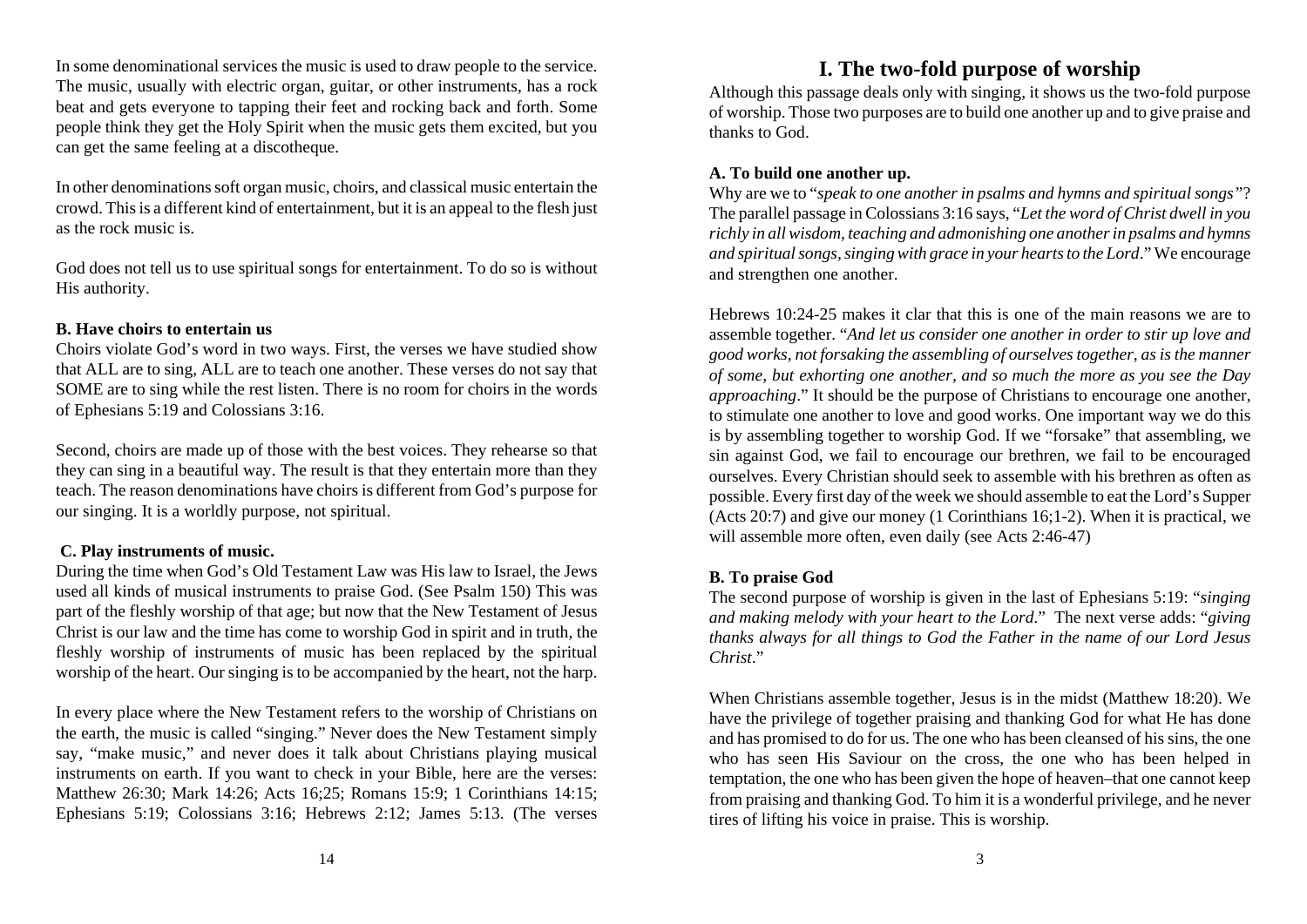In some denominational services the music is used to draw people to the service. The music, usually with electric organ, guitar, or other instruments, has a rock beat and gets everyone to tapping their feet and rocking back and forth. Some people think they get the Holy Spirit when the music gets them excited, but you can get the same feeling at a discotheque.

In other denominations soft organ music, choirs, and classical music entertain the crowd. This is a different kind of entertainment, but it is an appeal to the flesh just as the rock music is.

God does not tell us to use spiritual songs for entertainment. To do so is without His authority.

#### **B. Have choirs to entertain us**

Choirs violate God's word in two ways. First, the verses we have studied show that ALL are to sing, ALL are to teach one another. These verses do not say that SOME are to sing while the rest listen. There is no room for choirs in the words of Ephesians 5:19 and Colossians 3:16.

Second, choirs are made up of those with the best voices. They rehearse so that they can sing in a beautiful way. The result is that they entertain more than they teach. The reason denominations have choirs is different from God's purpose for our singing. It is a worldly purpose, not spiritual.

## **C. Play instruments of music.**

During the time when God's Old Testament Law was His law to Israel, the Jews used all kinds of musical instruments to praise God. (See Psalm 150) This was part of the fleshly worship of that age; but now that the New Testament of Jesus Christ is our law and the time has come to worship God in spirit and in truth, the fleshly worship of instruments of music has been replaced by the spiritual worship of the heart. Our singing is to be accompanied by the heart, not the harp.

In every place where the New Testament refers to the worship of Christians on the earth, the music is called "singing." Never does the New Testament simply say, "make music," and never does it talk about Christians playing musical instruments on earth. If you want to check in your Bible, here are the verses: Matthew 26:30; Mark 14:26; Acts 16;25; Romans 15:9; 1 Corinthians 14:15; Ephesians 5:19; Colossians 3:16; Hebrews 2:12; James 5:13. (The verses

## **I. The two-fold purpose of worship**

Although this passage deals only with singing, it shows us the two-fold purpose of worship. Those two purposes are to build one another up and to give praise and thanks to God.

#### **A. To build one another up.**

Why are we to "*speak to one another in psalms and hymns and spiritual songs"*? The parallel passage in Colossians 3:16 says, "*Let the word of Christ dwell in you richly in all wisdom, teaching and admonishing one another in psalms and hymns and spiritual songs, singing with grace in your hearts to the Lord*." We encourage and strengthen one another.

Hebrews 10:24-25 makes it clar that this is one of the main reasons we are toassemble together. "*And let us consider one another in order to stir up love and good works, not forsaking the assembling of ourselves together, as is the manner of some, but exhorting one another, and so much the more as you see the Day approaching*." It should be the purpose of Christians to encourage one another, to stimulate one another to love and good works. One important way we do this is by assembling together to worship God. If we "forsake" that assembling, we sin against God, we fail to encourage our brethren, we fail to be encouraged ourselves. Every Christian should seek to assemble with his brethren as often as possible. Every first day of the week we should assemble to eat the Lord's Supper (Acts 20:7) and give our money (1 Corinthians 16;1-2). When it is practical, we will assemble more often, even daily (see Acts 2:46-47)

## **B. To praise God**

The second purpose of worship is given in the last of Ephesians 5:19: "*singing and making melody with your heart to the Lord*." The next verse adds: "*giving thanks always for all things to God the Father in the name of our Lord Jesus Christ*."

When Christians assemble together, Jesus is in the midst (Matthew 18:20). We have the privilege of together praising and thanking God for what He has done and has promised to do for us. The one who has been cleansed of his sins, the one who has seen His Saviour on the cross, the one who has been helped in temptation, the one who has been given the hope of heaven–that one cannot keep from praising and thanking God. To him it is a wonderful privilege, and he never tires of lifting his voice in praise. This is worship.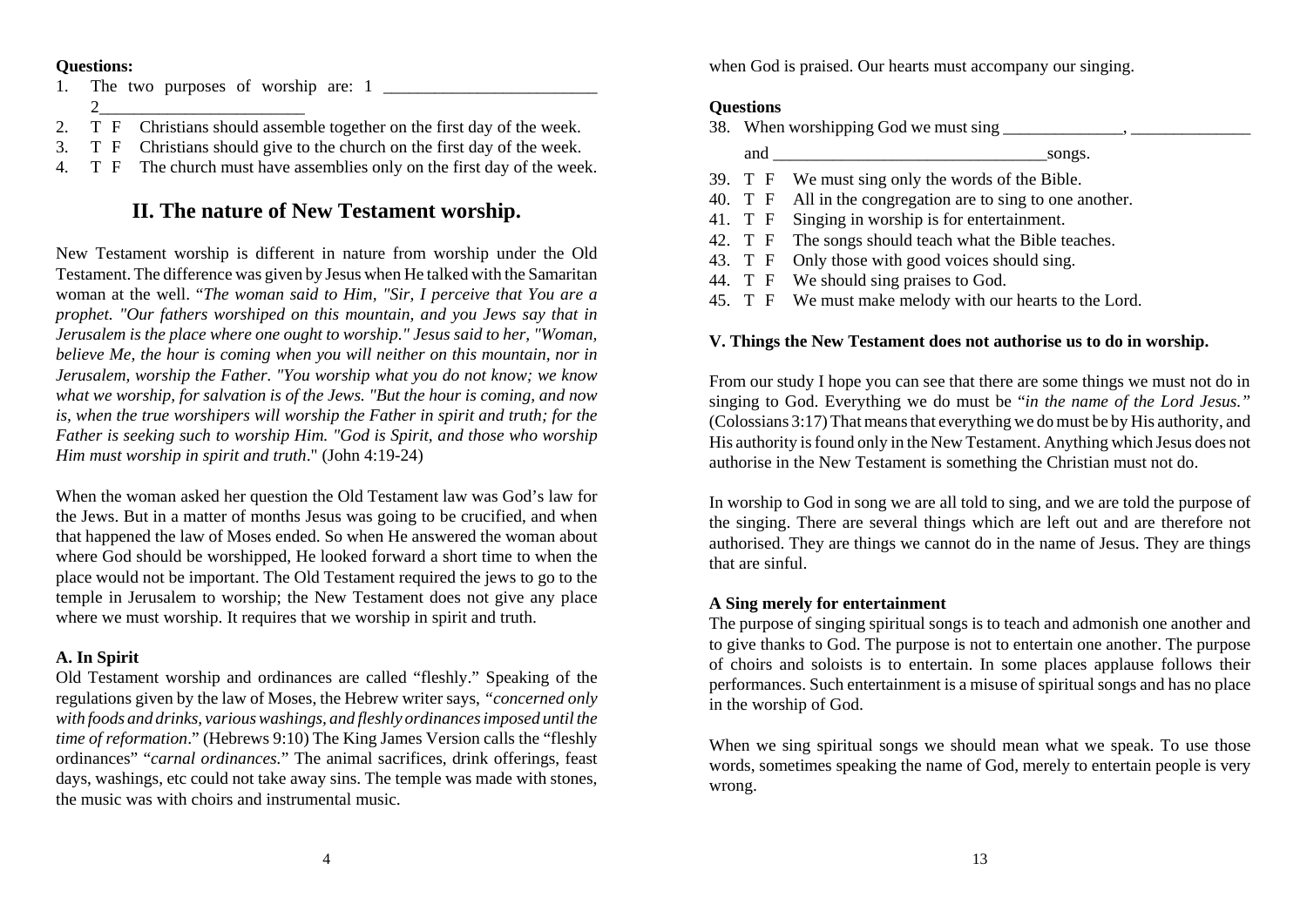#### **Questions:**

- 1. The two purposes of worship are: 1 2\_\_\_\_\_\_\_\_\_\_\_\_\_\_\_\_\_\_\_\_\_\_\_\_
- 2. T F Christians should assemble together on the first day of the week.
- 3. T F Christians should give to the church on the first day of the week.
- 4. T F The church must have assemblies only on the first day of the week.

# **II. The nature of New Testament worship.**

New Testament worship is different in nature from worship under the Old Testament. The difference was given by Jesus when He talked with the Samaritan woman at the well. "*The woman said to Him, "Sir, I perceive that You are a prophet. "Our fathers worshiped on this mountain, and you Jews say that in Jerusalem is the place where one ought to worship." Jesus said to her, "Woman, believe Me, the hour is coming when you will neither on this mountain, nor in Jerusalem, worship the Father. "You worship what you do not know; we know what we worship, for salvation is of the Jews. "But the hour is coming, and now is, when the true worshipers will worship the Father in spirit and truth; for the Father is seeking such to worship Him. "God is Spirit, and those who worship Him must worship in spirit and truth*." (John 4:19-24)

When the woman asked her question the Old Testament law was God's law for the Jews. But in a matter of months Jesus was going to be crucified, and when that happened the law of Moses ended. So when He answered the woman about where God should be worshipped, He looked forward a short time to when the place would not be important. The Old Testament required the jews to go to the temple in Jerusalem to worship; the New Testament does not give any place where we must worship. It requires that we worship in spirit and truth.

## **A. In Spirit**

Old Testament worship and ordinances are called "fleshly." Speaking of the regulations given by the law of Moses, the Hebrew writer says, *"concerned only with foods and drinks, various washings, and fleshly ordinances imposed until the time of reformation*." (Hebrews 9:10) The King James Version calls the "fleshly ordinances" "*carnal ordinances.*" The animal sacrifices, drink offerings, feast days, washings, etc could not take away sins. The temple was made with stones, the music was with choirs and instrumental music.

when God is praised. Our hearts must accompany our singing.

## **Questions**

| 38. When worshipping God we must sing |                                                             |  |
|---------------------------------------|-------------------------------------------------------------|--|
| and                                   | songs.                                                      |  |
|                                       | 39. T F We must sing only the words of the Bible.           |  |
|                                       | 40. T F All in the congregation are to sing to one another. |  |
|                                       | 41. T F Singing in worship is for entertainment.            |  |
|                                       | 42. T F The songs should teach what the Bible teaches.      |  |
| 43. T F                               | Only those with good voices should sing.                    |  |
|                                       | 44. T F We should sing praises to God.                      |  |
|                                       | 45. T F We must make melody with our hearts to the Lord.    |  |

## **V. Things the New Testament does not authorise us to do in worship.**

From our study I hope you can see that there are some things we must not do in singing to God. Everything we do must be "*in the name of the Lord Jesus."* (Colossians 3:17) That means that everything we do must be by His authority, and His authority is found only in the New Testament. Anything which Jesus does not authorise in the New Testament is something the Christian must not do.

In worship to God in song we are all told to sing, and we are told the purpose of the singing. There are several things which are left out and are therefore not authorised. They are things we cannot do in the name of Jesus. They are things that are sinful.

## **A Sing merely for entertainment**

The purpose of singing spiritual songs is to teach and admonish one another and to give thanks to God. The purpose is not to entertain one another. The purpose of choirs and soloists is to entertain. In some places applause follows their performances. Such entertainment is a misuse of spiritual songs and has no place in the worship of God.

When we sing spiritual songs we should mean what we speak. To use those words, sometimes speaking the name of God, merely to entertain people is very wrong.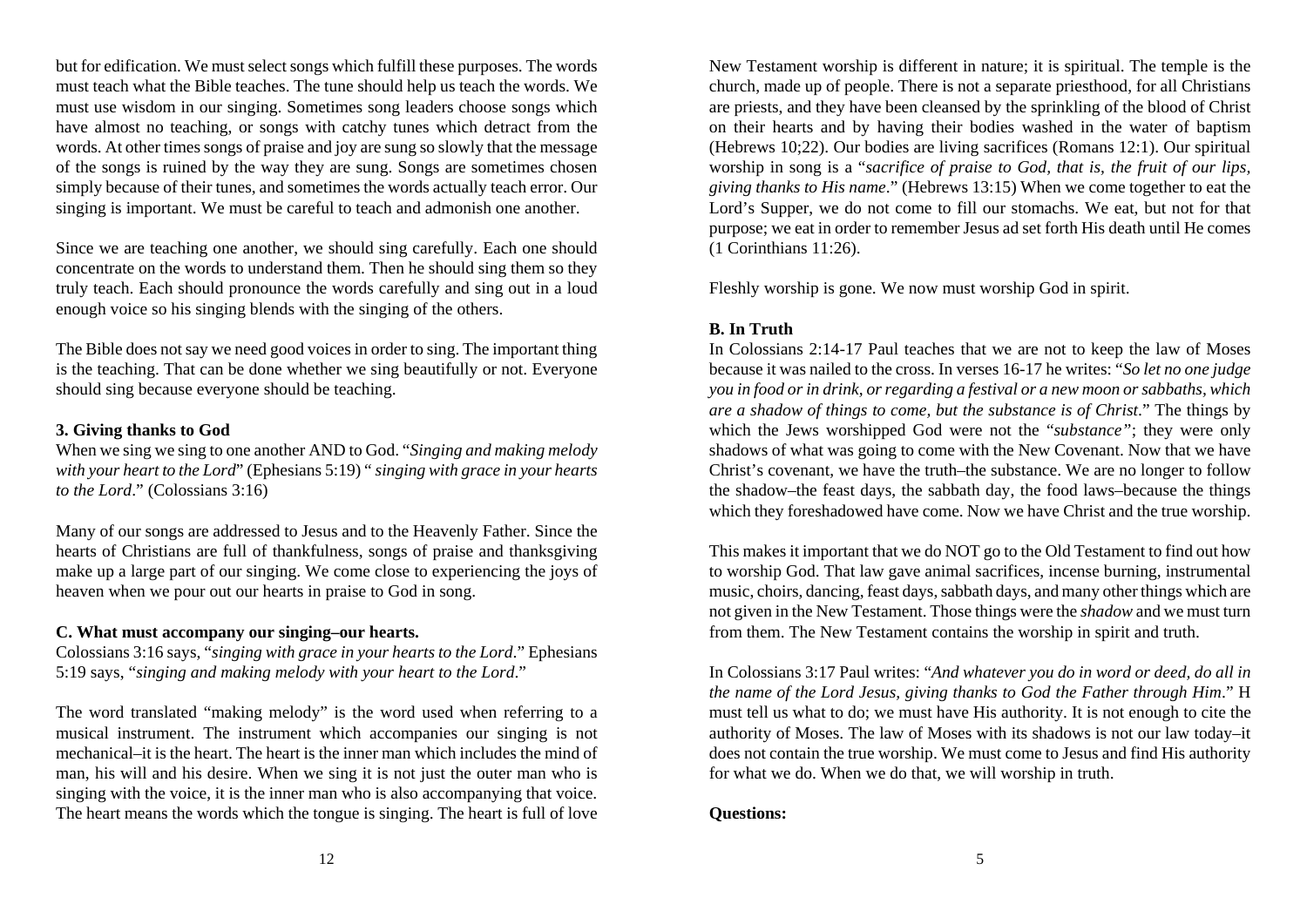but for edification. We must select songs which fulfill these purposes. The words must teach what the Bible teaches. The tune should help us teach the words. We must use wisdom in our singing. Sometimes song leaders choose songs which have almost no teaching, or songs with catchy tunes which detract from the words. At other times songs of praise and joy are sung so slowly that the message of the songs is ruined by the way they are sung. Songs are sometimes chosen simply because of their tunes, and sometimes the words actually teach error. Our singing is important. We must be careful to teach and admonish one another.

Since we are teaching one another, we should sing carefully. Each one should concentrate on the words to understand them. Then he should sing them so they truly teach. Each should pronounce the words carefully and sing out in a loud enough voice so his singing blends with the singing of the others.

The Bible does not say we need good voices in order to sing. The important thing is the teaching. That can be done whether we sing beautifully or not. Everyone should sing because everyone should be teaching.

### **3. Giving thanks to God**

When we sing we sing to one another AND to God. "*Singing and making melody with your heart to the Lord*" (Ephesians 5:19) " *singing with grace in your hearts to the Lord*." (Colossians 3:16)

Many of our songs are addressed to Jesus and to the Heavenly Father. Since the hearts of Christians are full of thankfulness, songs of praise and thanksgiving make up a large part of our singing. We come close to experiencing the joys of heaven when we pour out our hearts in praise to God in song.

#### **C. What must accompany our singing–our hearts.**

Colossians 3:16 says, "*singing with grace in your hearts to the Lord*." Ephesians 5:19 says, "*singing and making melody with your heart to the Lord*."

The word translated "making melody" is the word used when referring to a musical instrument. The instrument which accompanies our singing is not mechanical–it is the heart. The heart is the inner man which includes the mind of man, his will and his desire. When we sing it is not just the outer man who is singing with the voice, it is the inner man who is also accompanying that voice. The heart means the words which the tongue is singing. The heart is full of love

New Testament worship is different in nature; it is spiritual. The temple is the church, made up of people. There is not a separate priesthood, for all Christians are priests, and they have been cleansed by the sprinkling of the blood of Christ on their hearts and by having their bodies washed in the water of baptism (Hebrews 10;22). Our bodies are living sacrifices (Romans 12:1). Our spiritual worship in song is a "*sacrifice of praise to God, that is, the fruit of our lips, giving thanks to His name*." (Hebrews 13:15) When we come together to eat the Lord's Supper, we do not come to fill our stomachs. We eat, but not for that purpose; we eat in order to remember Jesus ad set forth His death until He comes (1 Corinthians 11:26).

Fleshly worship is gone. We now must worship God in spirit.

### **B. In Truth**

In Colossians 2:14-17 Paul teaches that we are not to keep the law of Moses because it was nailed to the cross. In verses 16-17 he writes: "*So let no one judge you in food or in drink, or regarding a festival or a new moon or sabbaths, which are a shadow of things to come, but the substance is of Christ*." The things by which the Jews worshipped God were not the "*substance"*; they were only shadows of what was going to come with the New Covenant. Now that we have Christ's covenant, we have the truth–the substance. We are no longer to follow the shadow–the feast days, the sabbath day, the food laws–because the things which they foreshadowed have come. Now we have Christ and the true worship.

This makes it important that we do NOT go to the Old Testament to find out how to worship God. That law gave animal sacrifices, incense burning, instrumental music, choirs, dancing, feast days, sabbath days, and many other things which are not given in the New Testament. Those things were the *shadow* and we must turn from them. The New Testament contains the worship in spirit and truth.

In Colossians 3:17 Paul writes: "*And whatever you do in word or deed, do all in the name of the Lord Jesus, giving thanks to God the Father through Him*." H must tell us what to do; we must have His authority. It is not enough to cite the authority of Moses. The law of Moses with its shadows is not our law today–it does not contain the true worship. We must come to Jesus and find His authority for what we do. When we do that, we will worship in truth.

## **Questions:**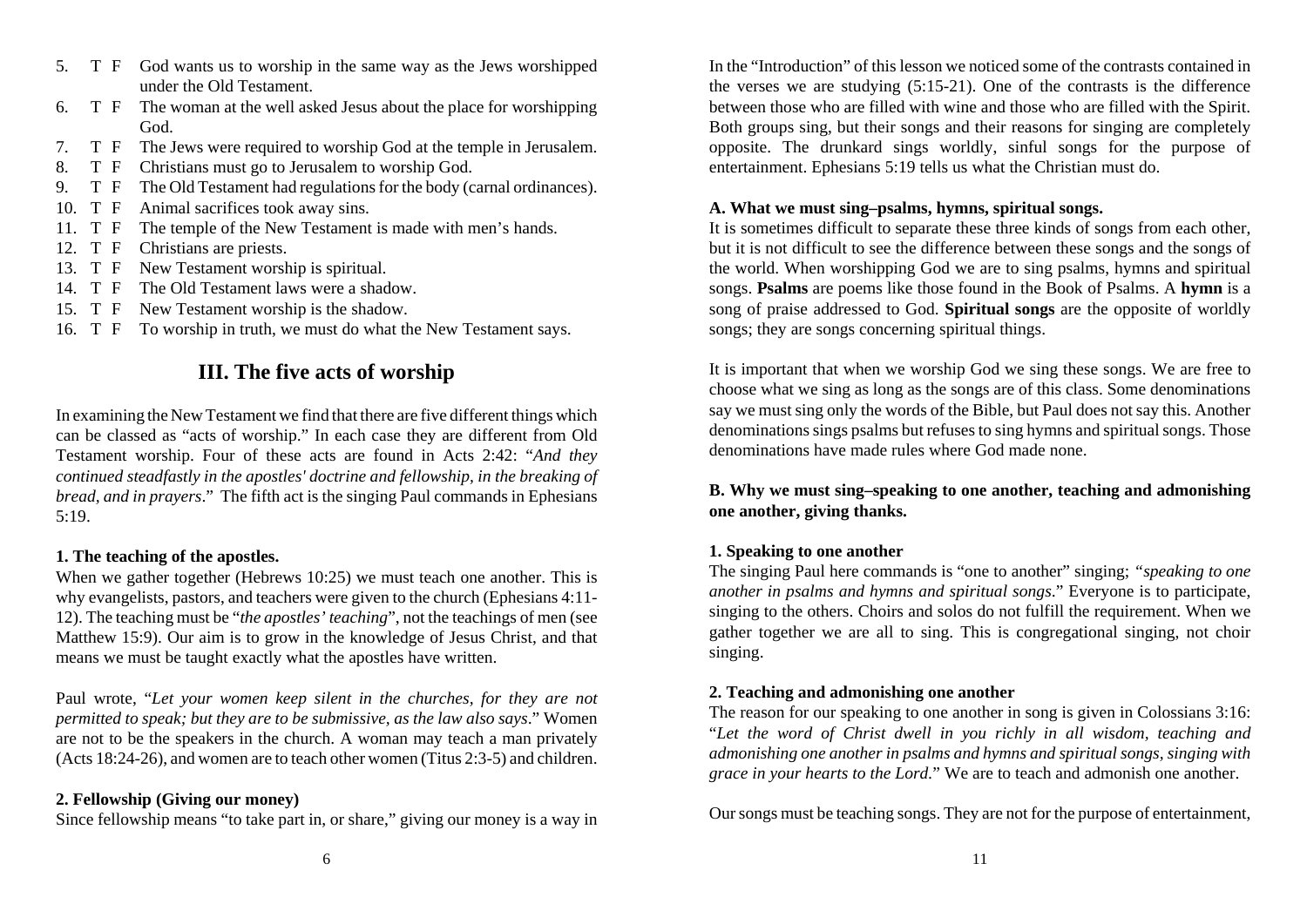- 5. T F God wants us to worship in the same way as the Jews worshipped under the Old Testament.
- 6. T F The woman at the well asked Jesus about the place for worshipping God.
- 7. T F The Jews were required to worship God at the temple in Jerusalem.
- 8. T F Christians must go to Jerusalem to worship God.
- 9. T F The Old Testament had regulations for the body (carnal ordinances).
- 10. T F Animal sacrifices took away sins.
- 11. T F The temple of the New Testament is made with men's hands.
- 12. T F Christians are priests.
- 13. T F New Testament worship is spiritual.
- 14. T F The Old Testament laws were a shadow.
- 15. T F New Testament worship is the shadow.
- 16. T F To worship in truth, we must do what the New Testament says.

## **III. The five acts of worship**

In examining the New Testament we find that there are five different things which can be classed as "acts of worship." In each case they are different from Old Testament worship. Four of these acts are found in Acts 2:42: "*And they continued steadfastly in the apostles' doctrine and fellowship, in the breaking of bread, and in prayers*." The fifth act is the singing Paul commands in Ephesians 5:19.

## **1. The teaching of the apostles.**

When we gather together (Hebrews 10:25) we must teach one another. This is why evangelists, pastors, and teachers were given to the church (Ephesians 4:11- 12). The teaching must be "*the apostles' teaching*", not the teachings of men (see Matthew 15:9). Our aim is to grow in the knowledge of Jesus Christ, and that means we must be taught exactly what the apostles have written.

Paul wrote, "*Let your women keep silent in the churches, for they are not permitted to speak; but they are to be submissive, as the law also says*." Women are not to be the speakers in the church. A woman may teach a man privately (Acts 18:24-26), and women are to teach other women (Titus 2:3-5) and children.

## **2. Fellowship (Giving our money)**

Since fellowship means "to take part in, or share," giving our money is a way in

In the "Introduction" of this lesson we noticed some of the contrasts contained inthe verses we are studying (5:15-21). One of the contrasts is the difference between those who are filled with wine and those who are filled with the Spirit. Both groups sing, but their songs and their reasons for singing are completely opposite. The drunkard sings worldly, sinful songs for the purpose of entertainment. Ephesians 5:19 tells us what the Christian must do.

## **A. What we must sing–psalms, hymns, spiritual songs.**

It is sometimes difficult to separate these three kinds of songs from each other, but it is not difficult to see the difference between these songs and the songs of the world. When worshipping God we are to sing psalms, hymns and spiritual songs. **Psalms** are poems like those found in the Book of Psalms. A **hymn** is a song of praise addressed to God. **Spiritual songs** are the opposite of worldly songs; they are songs concerning spiritual things.

It is important that when we worship God we sing these songs. We are free to choose what we sing as long as the songs are of this class. Some denominations say we must sing only the words of the Bible, but Paul does not say this. Another denominations sings psalms but refuses to sing hymns and spiritual songs. Those denominations have made rules where God made none.

## **B. Why we must sing–speaking to one another, teaching and admonishing one another, giving thanks.**

## **1. Speaking to one another**

The singing Paul here commands is "one to another" singing; *"speaking to one another in psalms and hymns and spiritual songs*." Everyone is to participate, singing to the others. Choirs and solos do not fulfill the requirement. When we gather together we are all to sing. This is congregational singing, not choir singing.

## **2. Teaching and admonishing one another**

The reason for our speaking to one another in song is given in Colossians 3:16: "*Let the word of Christ dwell in you richly in all wisdom, teaching and admonishing one another in psalms and hymns and spiritual songs, singing with grace in your hearts to the Lord.*" We are to teach and admonish one another.

Our songs must be teaching songs. They are not for the purpose of entertainment,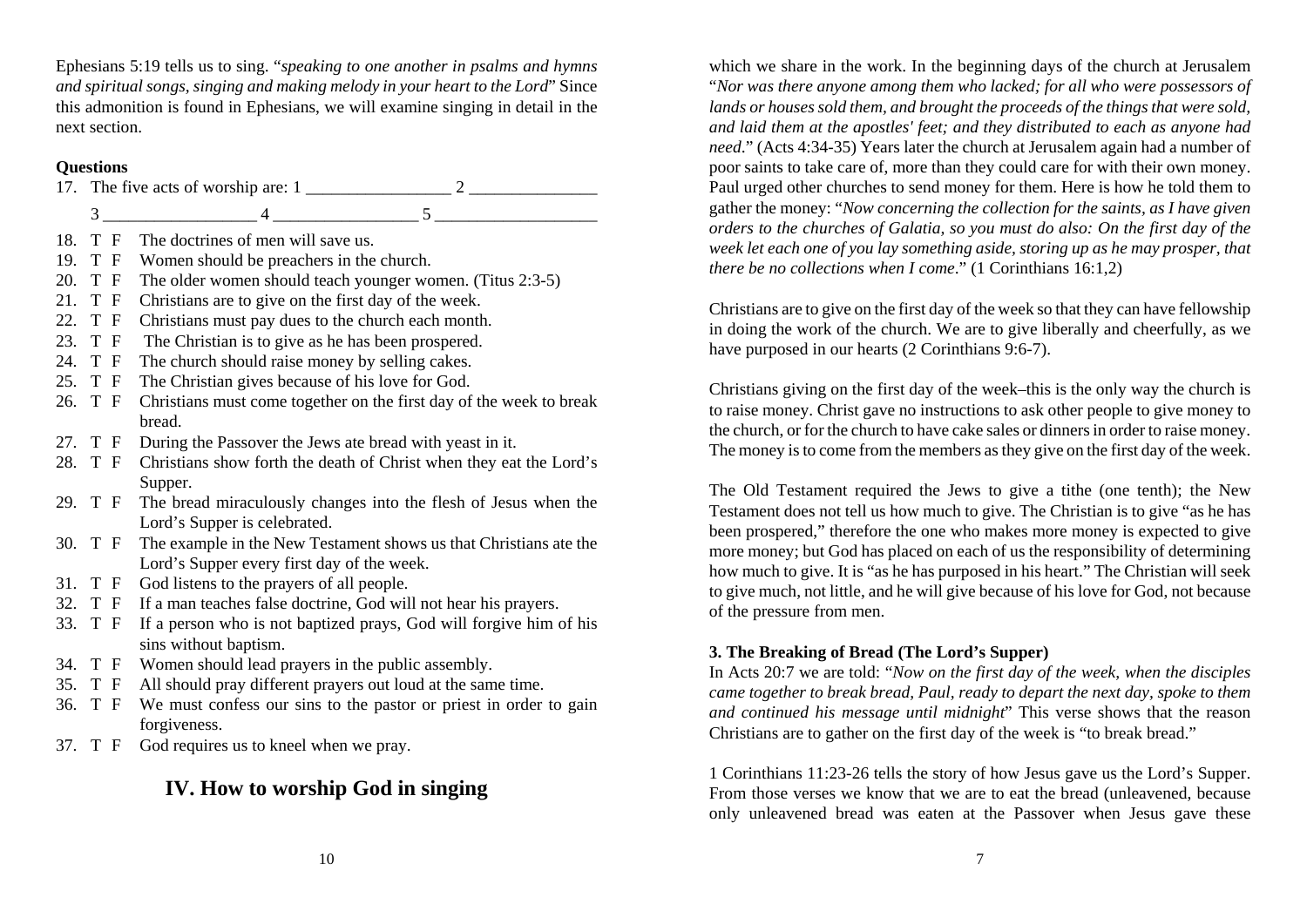Ephesians 5:19 tells us to sing. "*speaking to one another in psalms and hymns and spiritual songs, singing and making melody in your heart to the Lord*" Since this admonition is found in Ephesians, we will examine singing in detail in the next section.

### **Questions**

|  | 17. The five acts of worship are: 1                                                                                                                                                                                                                                                                                                |  |  |
|--|------------------------------------------------------------------------------------------------------------------------------------------------------------------------------------------------------------------------------------------------------------------------------------------------------------------------------------|--|--|
|  | $\overline{3}$<br>$\frac{4}{5}$ 5                                                                                                                                                                                                                                                                                                  |  |  |
|  | 18. T F The doctrines of men will save us.                                                                                                                                                                                                                                                                                         |  |  |
|  | 19. T F Women should be preachers in the church.                                                                                                                                                                                                                                                                                   |  |  |
|  | 20. T F The older women should teach younger women. (Titus 2:3-5)                                                                                                                                                                                                                                                                  |  |  |
|  | 21. T F Christians are to give on the first day of the week.                                                                                                                                                                                                                                                                       |  |  |
|  | 22. T F Christians must pay dues to the church each month.                                                                                                                                                                                                                                                                         |  |  |
|  | $\overline{a}$ and $\overline{b}$ and $\overline{c}$ and $\overline{c}$ and $\overline{c}$ and $\overline{c}$ and $\overline{c}$ and $\overline{c}$ and $\overline{c}$ and $\overline{c}$ and $\overline{c}$ and $\overline{c}$ and $\overline{c}$ and $\overline{c}$ and $\overline{c}$ and $\overline{c}$ and $\overline{c}$ and |  |  |

- 23. T F The Christian is to give as he has been prospered. 24. T F The church should raise money by selling cakes.
- 25. T F The Christian gives because of his love for God.
- 26. T F Christians must come together on the first day of the week to break bread.
- 27. T F During the Passover the Jews ate bread with yeast in it.
- 28. T F Christians show forth the death of Christ when they eat the Lord's Supper.
- 29. T F The bread miraculously changes into the flesh of Jesus when the Lord's Supper is celebrated.
- 30. T F The example in the New Testament shows us that Christians ate the Lord's Supper every first day of the week.
- 31. T F God listens to the prayers of all people.
- 32. T F If a man teaches false doctrine, God will not hear his prayers.
- 33. T F If a person who is not baptized prays, God will forgive him of his sins without baptism.
- 34. T F Women should lead prayers in the public assembly.
- 35. T F All should pray different prayers out loud at the same time.
- 36. T F We must confess our sins to the pastor or priest in order to gain forgiveness.
- 37. T F God requires us to kneel when we pray.

## **IV. How to worship God in singing**

which we share in the work. In the beginning days of the church at Jerusalem "*Nor was there anyone among them who lacked; for all who were possessors of lands or houses sold them, and brought the proceeds of the things that were sold, and laid them at the apostles' feet; and they distributed to each as anyone had need*." (Acts 4:34-35) Years later the church at Jerusalem again had a number of poor saints to take care of, more than they could care for with their own money. Paul urged other churches to send money for them. Here is how he told them to gather the money: "*Now concerning the collection for the saints, as I have given orders to the churches of Galatia, so you must do also: On the first day of the week let each one of you lay something aside, storing up as he may prosper, that there be no collections when I come*." (1 Corinthians 16:1,2)

Christians are to give on the first day of the week so that they can have fellowship in doing the work of the church. We are to give liberally and cheerfully, as we have purposed in our hearts (2 Corinthians 9:6-7).

Christians giving on the first day of the week–this is the only way the church is to raise money. Christ gave no instructions to ask other people to give money to the church, or for the church to have cake sales or dinners in order to raise money. The money is to come from the members as they give on the first day of the week.

The Old Testament required the Jews to give a tithe (one tenth); the New Testament does not tell us how much to give. The Christian is to give "as he has been prospered," therefore the one who makes more money is expected to give more money; but God has placed on each of us the responsibility of determining how much to give. It is "as he has purposed in his heart." The Christian will seek to give much, not little, and he will give because of his love for God, not because of the pressure from men.

## **3. The Breaking of Bread (The Lord's Supper)**

In Acts 20:7 we are told: "*Now on the first day of the week, when the disciples came together to break bread, Paul, ready to depart the next day, spoke to them and continued his message until midnight*" This verse shows that the reason Christians are to gather on the first day of the week is "to break bread."

1 Corinthians 11:23-26 tells the story of how Jesus gave us the Lord's Supper. From those verses we know that we are to eat the bread (unleavened, because only unleavened bread was eaten at the Passover when Jesus gave these